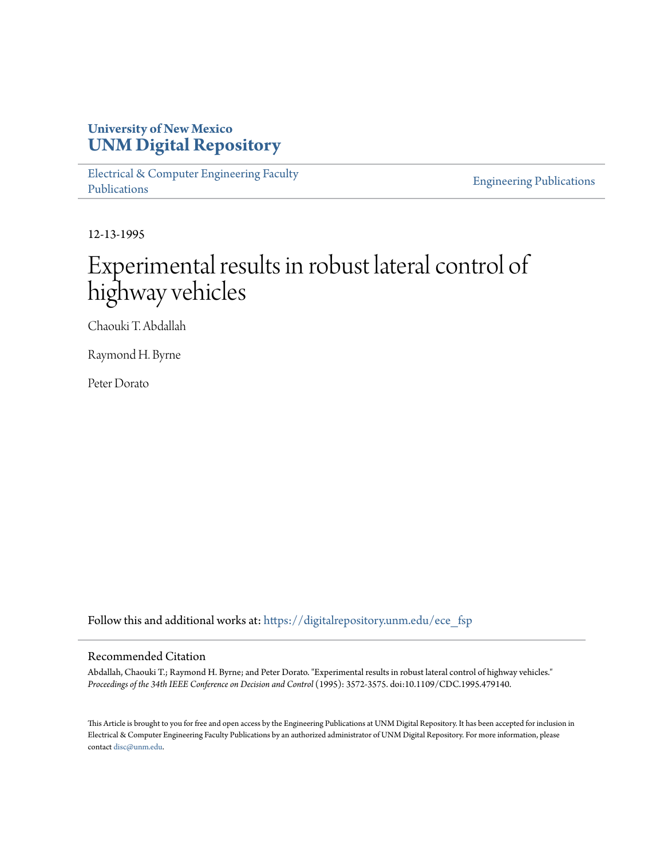# **University of New Mexico [UNM Digital Repository](https://digitalrepository.unm.edu?utm_source=digitalrepository.unm.edu%2Fece_fsp%2F44&utm_medium=PDF&utm_campaign=PDFCoverPages)**

[Electrical & Computer Engineering Faculty](https://digitalrepository.unm.edu/ece_fsp?utm_source=digitalrepository.unm.edu%2Fece_fsp%2F44&utm_medium=PDF&utm_campaign=PDFCoverPages) [Publications](https://digitalrepository.unm.edu/ece_fsp?utm_source=digitalrepository.unm.edu%2Fece_fsp%2F44&utm_medium=PDF&utm_campaign=PDFCoverPages)

[Engineering Publications](https://digitalrepository.unm.edu/eng_fsp?utm_source=digitalrepository.unm.edu%2Fece_fsp%2F44&utm_medium=PDF&utm_campaign=PDFCoverPages)

12-13-1995

# Experimental results in robust lateral control of highway vehicles

Chaouki T. Abdallah

Raymond H. Byrne

Peter Dorato

Follow this and additional works at: [https://digitalrepository.unm.edu/ece\\_fsp](https://digitalrepository.unm.edu/ece_fsp?utm_source=digitalrepository.unm.edu%2Fece_fsp%2F44&utm_medium=PDF&utm_campaign=PDFCoverPages)

#### Recommended Citation

Abdallah, Chaouki T.; Raymond H. Byrne; and Peter Dorato. "Experimental results in robust lateral control of highway vehicles." *Proceedings of the 34th IEEE Conference on Decision and Control* (1995): 3572-3575. doi:10.1109/CDC.1995.479140.

This Article is brought to you for free and open access by the Engineering Publications at UNM Digital Repository. It has been accepted for inclusion in Electrical & Computer Engineering Faculty Publications by an authorized administrator of UNM Digital Repository. For more information, please contact [disc@unm.edu.](mailto:disc@unm.edu)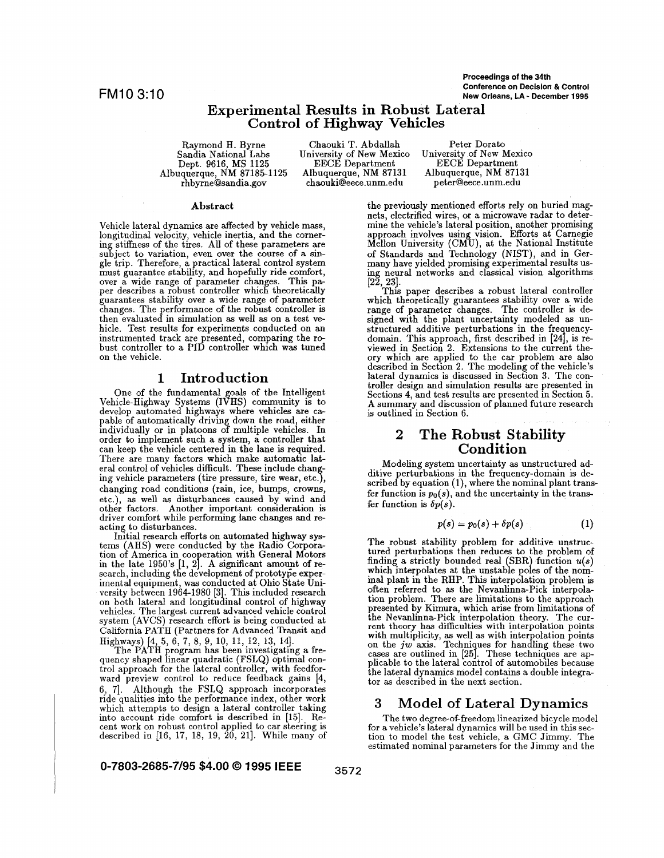**Proceedings of the 34th Conference on Decision** *L?* **Control** FM10 3:lO **New Orleans, LA** - **December 1995** 

## **Experimental Results in Robust Lateral Control of Highway Vehicles**

Albuquerque, NM **87185-1125** Albuquerque, NM **87131** Albuquerque, NM **87131**  Sandia National Labs

Raymond **H. Byrne** Chaouki T. Abdallah Peter Dorato<br>
Sandia National Labs University of New Mexico University of New N Dept. **9616,** MS **1125** EECE Department EECE Department chaouki@eece.unm.edu

University of New Mexico

#### **Abstract**

Vehicle lateral dynamics are affected by vehicle mass, longitudinal velocity, vehicle inertia, and the corner-<br>ing stiffness of the tires. All of these parameters are<br>subject to variation, even over the course of a single trip. Therefore, a practical lateral control system must guarantee stability, and hopefully ride comfort, per a wide range of parameter changes. This paper describes a robust controller which theoretically guarantees stability over a wide range of parameter changes. The performance of the robust controller is hicle. Test results for experiments conducted on an instrumented track are presented, comparing the robust controller to a PID controller which was tuned on the vehicle.

#### **1 Introduction**

One of the fundamental goals of the Intelligent Vehicle-Highway Systems (IVHS) community is to develop automated highways where vehicles are ca- pable of automatically driving down the road, either individually or in platoons of multiple vehicles. In order to implement such a system, a controller that can keep the vehicle centered in the lane is required. There are many factors which make automatic lateral control of vehicles difficult. These include chang-<br>ing vehicle parameters (tire pressure, tire wear, etc.), changing road conditions (rain, ice, bumps, crowns, etc.), **as** well **as** disturbances caused by wind and other factors. Another important consideration is driver comfort while performing lane changes and reacting to disturbances.

Initial research efforts on automated highway systems AHS) were conducted by the Radio Corporain the late **1950's [1, 2].** A significant amount of re-<br>search, including the development of prototype exper- $\;$ imental equipment, was conducted at Ohio State University between 1964-1980 [3]. This included research on both lateral and longitudinal control of highway vehicles. The largest current advanced vehicle control system (AVCS) research effort is being conducted at California PATH (Partners for Advanced Transit and tion of America in cooperation with General Motors<br>in the late  $1950$ 's  $[1, 2]$ . A significant amount of re-

Highways) [4, 5, 6, 7, 8, 9, 10, 11, 12, 13, 14].<br>The PATH program has been investigating a frequency shaped linear quadratic (FSLQ) optimal con- trol approach for the lateral controller, with feedforward preview control to reduce feedback gains [4, 6, 7]. Although the FSLQ approach incorporates ride qualities into the performance index, other work which attempts to design a lateral controller taking into account ride comfort is described in [15]. Recent work on robust control applied to car steering is described in **[16, 17, 18, 19, 20, 211.** While many of

**0-7803-2685-7195 \$4.00** *0* **1995 IEEE** 

the previously mentioned efforts rely on buried magnets, electrified wires, or a microwave radar to determine the vehicle's lateral position, another promising approach involves using vision. Efforts at Carnegie Mellon University (CMU), at the National Institute of Standards and Technology (NIST), and in Germany have yielded promising experimental results us- ing neural networks and classical vision algorithms

This paper describes a robust lateral controller **[22, 231.**  which theoretically guarantees stability over a wide range of parameter changes. The controller is designed with the plant uncertainty modeled as unstructured additive perturbations in the frequencydomain. This approach, first described in **[24,** is reviewed in Section 2. Extensions to the current theory which are applied to the car problem are also described in Section 2. The modeling of the vehicle's lateral dynamics is discussed in Section **3.** The con- troller design and simulation results are presented in troller design and simulation results are presented in Section 5. **A** summary and discussion of planned future research is outlined in Section **6.** 

# **2 The Robust Stability Condition**

Modeling system uncertainty **as** unstructured additive perturbations in the frequency-domain is described by equation **(l),** where the nominal plant transfer function is  $p_0(s)$ , and the uncertainty in the transfer function is  $\delta p(s)$ .

$$
p(s) = p_0(s) + \delta p(s) \tag{1}
$$

The robust stability problem for additive unstructured perturbations then reduces to the problem of finding a strictly bounded real (SBR) function  $u(s)$ inal plant in the **RHP.** This interpolation problem is often referred to **as** the Nevanlinna-Pick interpolapresented by Kimura, which arise from limitations of the Nevanlinna-Pick interpolation theory. The current theory has difficulties with interpolation points For the multiplicity, as well as with interpolation points<br>on the *jw* axis. Techniques for handling these two<br>cases are outlined in [25]. These techniques are ap-<br>plicable to the lateral control of automobiles because the lateral dynamics model contains a double integrator **as** described in the next section. which interpolates at the unstable poles of the nom-

#### **3 Model of Lateral Dynamics**

The two degree-of-freedom linearized bicycle model tion to model the test vehicle, a GMC Jimmy. The estimated nominal parameters for the Jimmy and the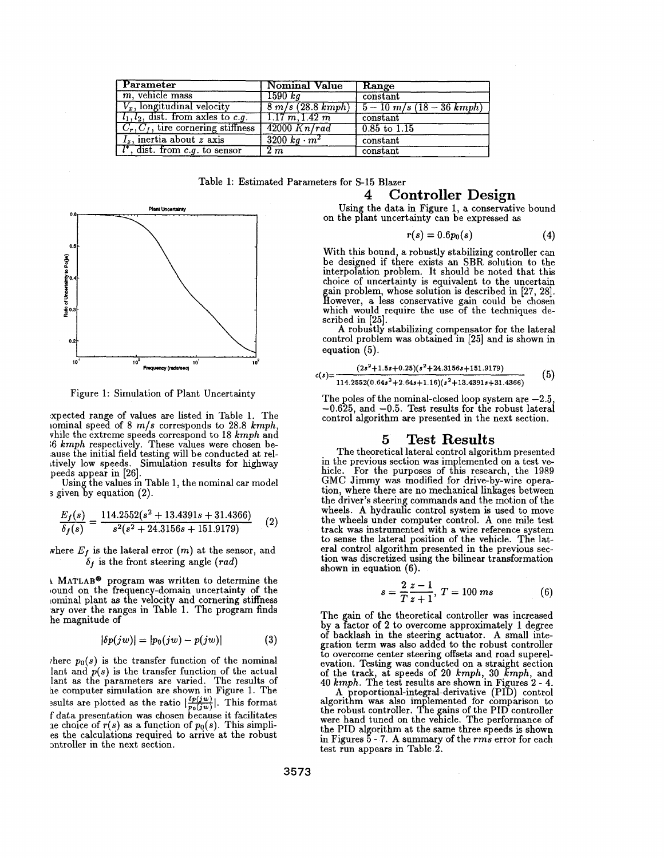| Parameter                                | Nominal Value          | Range                              |
|------------------------------------------|------------------------|------------------------------------|
| $m$ , vehicle mass                       | $1590\ kq^{-1}$        | constant                           |
| $V_x$ , longitudinal velocity            | 8 m/s (28.8 kmph)      | $\sqrt{5-10 \ m/s (18-36 \ kmph)}$ |
| $l_1, l_2$ , dist. from axles to c.g.    | 1.17 m, 1.42 m         | $\alpha$                           |
| $C_r, C_f$ , tire cornering stiffness    | $\sqrt{42000 K n/rad}$ | $0.85$ to $1.15$                   |
| $I_z$ , inertia about z axis             | $3200 \ kg \cdot m^2$  | constant                           |
| $\lceil l^*$ , dist. from c.g. to sensor | 2m                     | constant                           |

Table **1:** Estimated Parameters for **S-15** Blazer



Figure **1:** Simulation of Plant Uncertainty

hxpected range of values are listed in Table **1.** The iominal speed of **8** *mls* corresponds to **28.8** *kmph,*  vhile the extreme speeds correspond to **18** *kmph* and **16** *kmph* respectively. These values were chosen be- ause the initial field testing will be conducted at relttively low speeds. Simulation results for highway peeds appear in **[26].** 

Using the values in Table 1, the nominal car model **s** given by equation (2).

$$
\frac{E_f(s)}{\delta_f(s)} = \frac{114.2552(s^2 + 13.4391s + 31.4366)}{s^2(s^2 + 24.3156s + 151.9179)}\tag{2}
$$

where  $E_f$  is the lateral error  $(m)$  at the sensor, and  $\delta_f$  is the front steering angle *(rad)* 

**<sup>L</sup>MATLAB@** program was written to determine the ound on the frequency-domain uncertainty of the lominal plant as the velocity and cornering stiffness ary over the ranges in Table 1. The program finds he magnitude of

$$
|\delta p(jw)| = |p_0(jw) - p(jw)| \tag{3}
$$

there  $p_0(s)$  is the transfer function of the nominal lant and  $p(s)$  is the transfer function of the actual lant **as** the parameters are varied. The results of he computer simulation are shown in Figure **1.** The ssults are plotted as the ratio  $\left|\frac{\delta p(jw)}{p_0(jw)}\right|$ . This format f data presentation was chosen because it facilitates re choice of  $r(s)$  as a function of  $p_0(s)$ . This simplies the calculations required to arrive at the robust mtroller in the next section.

# **4 Controller Design**

Using the data in Figure 1, a conservative bound on the plant uncertainty can be expressed as

$$
r(s) = 0.6p_0(s) \tag{4}
$$

With this bound, a robustly stabilizing controller can be designed if there exists an SBR solution to the interpolation problem. It should be noted that this choice of uncertainty is equivalent to the uncertain gain problem, whose solution is described in **[27, 281.**  However, a less conservative gain could be chosen which would require the use of the techniques described in **[25].** 

**A** robustly stabilizing compensator for the lateral control problem was obtained in **[25]** and is shown in equation **(5).** 

$$
c(s) = \frac{(2s^2 + 1.5s + 0.25)(s^2 + 24.3156s + 151.9179)}{114.2552(0.64s^2 + 2.64s + 1.16)(s^2 + 13.4391s + 31.4366)}
$$
(5)

The poles of the nominal-closed loop system are **-2.5, -0.625,** and **-0.5.** Test results for the robust lateral control algorithm are presented in the next section.

#### **5 Test Results**

The theoretical lateral control algorithm presented<br>in the previous section was implemented on a test vein the previous section was im lemented on a test ve- hicle. For the purposes of &is research, the **<sup>1989</sup>** GMC Jimmy was modified for drive-by-wire operation, where there are no mechanical linkages between the driver's steering commands and the motion of the the wheels under computer control. A one mile test track **was** instrumented with a wire reference system to sense the lateral position of the vehicle. The lattion was discretized using the bilinear transformation shown in equation **(6).** 

$$
s = \frac{2}{T} \frac{z - 1}{z + 1}, \ T = 100 \ ms \tag{6}
$$

The gain of the theoretical controller was increased by a factor of **2** to overcome approximately **1** degree of backlash in the steering actuator. **A** small integration term was also added to the robust controller to overcome center steering offsets and road superelevation. Testing was conducted on a straight section of the track, at speeds of **20** *kmph,* **30** *kmph,* and **40** *kmph.* The test results are shown in Figures **2** - **4.** 

**A** proportional-integral-derivative (PID) control algorithm was also implemented for comparison to the robust controller. The gains of the PID controller were hand tuned on the vehicle. The performance of the PID algorithm at the same three speeds is shown in Figures **5** - **7. A** summary of the *rms* error for each test run appears in Table **2.**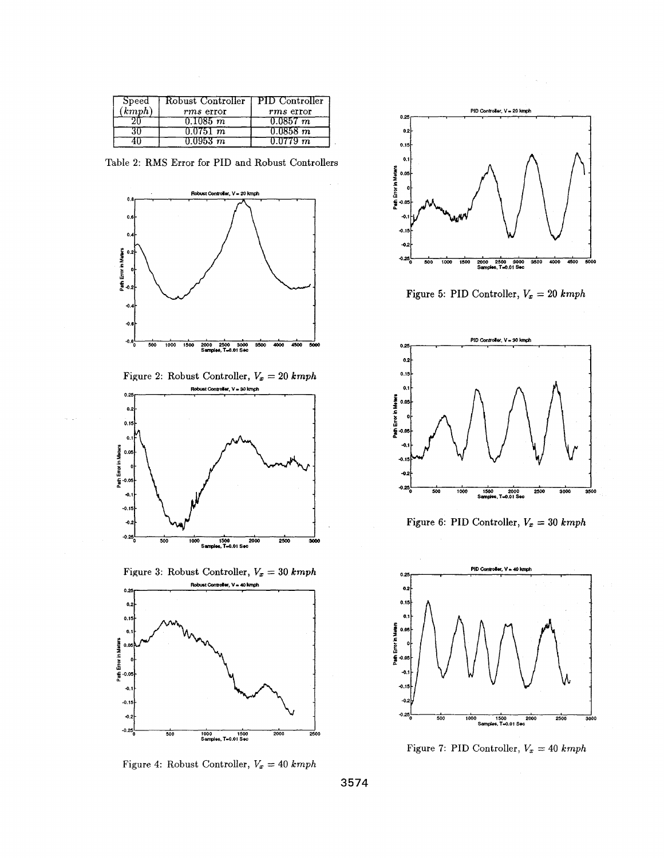| Speed  | Robust Controller   PID Controller |               |
|--------|------------------------------------|---------------|
| (kmph) | rms error                          | rms error     |
|        | 0.1085~m                           | $0.0857 \; m$ |
|        | 0.0751 m                           | $0.0858\ m$   |
|        | $0.0953\;m$                        | 0.0779~m      |

Table 2: RMS Error for PID and Robust Controllers



Figure 2: Robust Controller,  $V_x = 20$  kmph



Figure 3: Robust Controller,  $V_x = 30$  kmph



Figure 4: Robust Controller,  $V_x = 40$  kmph



Figure 5: PID Controller,  $V_x = 20$  kmph



Figure 6: PID Controller,  $V_x = 30$  kmph



Figure 7: PID Controller,  $V_x = 40$  kmph